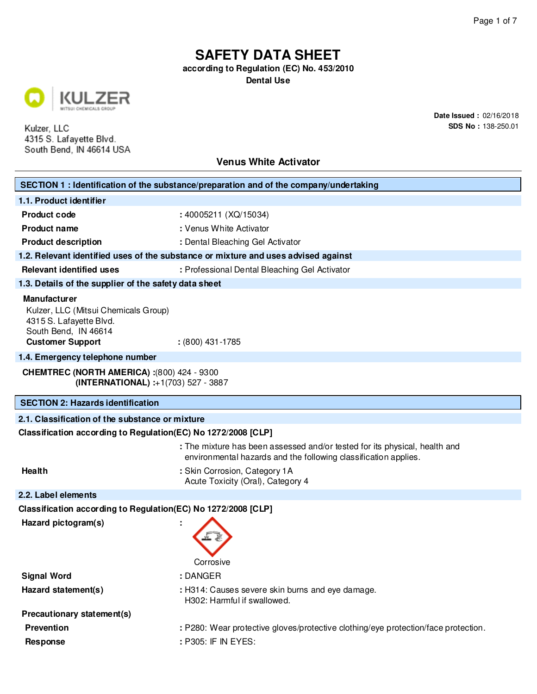**according to Regulation (EC) No. 453/2010**

**Dental Use**



Kulzer, LLC 4315 S. Lafayette Blvd. South Bend, IN 46614 USA **Date Issued :** 02/16/2018 **SDS No :** 138-250.01

| <b>Venus White Activator</b>                                                                                                              |                                                                                                                                               |  |  |
|-------------------------------------------------------------------------------------------------------------------------------------------|-----------------------------------------------------------------------------------------------------------------------------------------------|--|--|
| SECTION 1 : Identification of the substance/preparation and of the company/undertaking                                                    |                                                                                                                                               |  |  |
| 1.1. Product identifier                                                                                                                   |                                                                                                                                               |  |  |
| <b>Product code</b>                                                                                                                       | : 40005211 (XQ/15034)                                                                                                                         |  |  |
| <b>Product name</b>                                                                                                                       | : Venus White Activator                                                                                                                       |  |  |
| <b>Product description</b>                                                                                                                | : Dental Bleaching Gel Activator                                                                                                              |  |  |
|                                                                                                                                           | 1.2. Relevant identified uses of the substance or mixture and uses advised against                                                            |  |  |
| <b>Relevant identified uses</b>                                                                                                           | : Professional Dental Bleaching Gel Activator                                                                                                 |  |  |
| 1.3. Details of the supplier of the safety data sheet                                                                                     |                                                                                                                                               |  |  |
| <b>Manufacturer</b><br>Kulzer, LLC (Mitsui Chemicals Group)<br>4315 S. Lafayette Blvd.<br>South Bend, IN 46614<br><b>Customer Support</b> | $: (800)$ 431-1785                                                                                                                            |  |  |
| 1.4. Emergency telephone number                                                                                                           |                                                                                                                                               |  |  |
|                                                                                                                                           | <b>CHEMTREC (NORTH AMERICA): (800) 424 - 9300</b><br>(INTERNATIONAL) :+1(703) 527 - 3887                                                      |  |  |
| <b>SECTION 2: Hazards identification</b>                                                                                                  |                                                                                                                                               |  |  |
| 2.1. Classification of the substance or mixture                                                                                           |                                                                                                                                               |  |  |
| Classification according to Regulation (EC) No 1272/2008 [CLP]                                                                            |                                                                                                                                               |  |  |
|                                                                                                                                           | : The mixture has been assessed and/or tested for its physical, health and<br>environmental hazards and the following classification applies. |  |  |
| Health                                                                                                                                    | : Skin Corrosion, Category 1A<br>Acute Toxicity (Oral), Category 4                                                                            |  |  |
| 2.2. Label elements                                                                                                                       |                                                                                                                                               |  |  |
| Classification according to Regulation(EC) No 1272/2008 [CLP]                                                                             |                                                                                                                                               |  |  |
| Hazard pictogram(s)                                                                                                                       | Corrosive                                                                                                                                     |  |  |
| <b>Signal Word</b>                                                                                                                        | : DANGER                                                                                                                                      |  |  |
| Hazard statement(s)                                                                                                                       | : H314: Causes severe skin burns and eye damage.<br>H302: Harmful if swallowed.                                                               |  |  |
| Precautionary statement(s)                                                                                                                |                                                                                                                                               |  |  |
| <b>Prevention</b>                                                                                                                         | : P280: Wear protective gloves/protective clothing/eye protection/face protection.                                                            |  |  |
| <b>Response</b>                                                                                                                           | : P305: IF IN EYES:                                                                                                                           |  |  |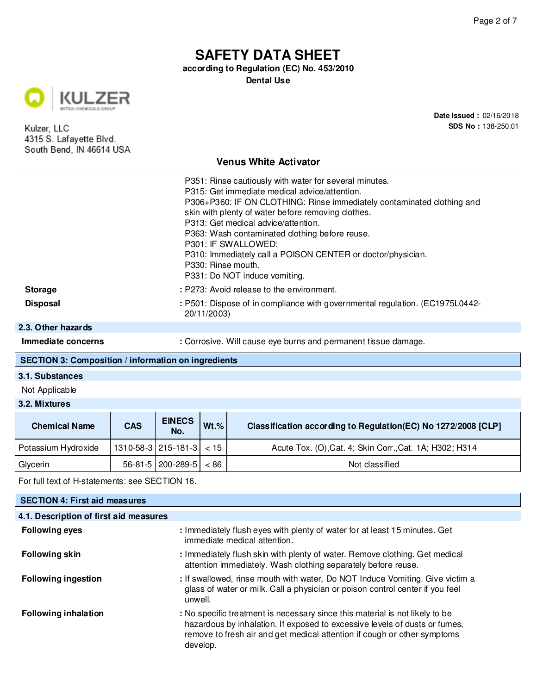**according to Regulation (EC) No. 453/2010**

**Dental Use**



Kulzer, LLC 4315 S. Lafayette Blvd. South Bend, IN 46614 USA **Date Issued :** 02/16/2018 **SDS No :** 138-250.01

### **Venus White Activator**

|                    | P351: Rinse cautiously with water for several minutes.                                      |
|--------------------|---------------------------------------------------------------------------------------------|
|                    | P315: Get immediate medical advice/attention.                                               |
|                    | P306+P360: IF ON CLOTHING: Rinse immediately contaminated clothing and                      |
|                    | skin with plenty of water before removing clothes.                                          |
|                    | P313: Get medical advice/attention.                                                         |
|                    | P363: Wash contaminated clothing before reuse.                                              |
|                    | P301: IF SWALLOWED:                                                                         |
|                    | P310: Immediately call a POISON CENTER or doctor/physician.                                 |
|                    | P330: Rinse mouth.                                                                          |
|                    | P331: Do NOT induce vomiting.                                                               |
| <b>Storage</b>     | : P273: Avoid release to the environment.                                                   |
| <b>Disposal</b>    | : P501: Dispose of in compliance with governmental regulation. (EC1975L0442-<br>20/11/2003) |
| 2.3. Other hazarde |                                                                                             |

#### **2** ther ha

**Immediate concerns : Corrosive. Will cause eye burns and permanent tissue damage.** 

### **SECTION 3: Composition / information on ingredients**

### **3.1. Substances**

Not Applicable

#### **3.2. Mixtures**

| <b>Chemical Name</b> | <b>CAS</b> | <b>EINECS</b><br>No.                         | $Wt.$ % | Classification according to Regulation(EC) No 1272/2008 [CLP] |
|----------------------|------------|----------------------------------------------|---------|---------------------------------------------------------------|
| Potassium Hydroxide  |            | $1310 - 58 - 3 \mid 215 - 181 - 3 \mid$ < 15 |         | Acute Tox. (O), Cat. 4; Skin Corr., Cat. 1A; H302; H314       |
| Glycerin             |            | $56-81-5$   200-289-5   < 86                 |         | Not classified                                                |

For full text of H-statements: see SECTION 16.

| <b>SECTION 4: First aid measures</b>   |                                                                                                                                                                                                                                                    |
|----------------------------------------|----------------------------------------------------------------------------------------------------------------------------------------------------------------------------------------------------------------------------------------------------|
| 4.1. Description of first aid measures |                                                                                                                                                                                                                                                    |
| <b>Following eyes</b>                  | : Immediately flush eyes with plenty of water for at least 15 minutes. Get<br>immediate medical attention.                                                                                                                                         |
| <b>Following skin</b>                  | : Immediately flush skin with plenty of water. Remove clothing. Get medical<br>attention immediately. Wash clothing separately before reuse.                                                                                                       |
| <b>Following ingestion</b>             | : If swallowed, rinse mouth with water, Do NOT Induce Vomiting. Give victim a<br>glass of water or milk. Call a physician or poison control center if you feel<br>unwell.                                                                          |
| <b>Following inhalation</b>            | : No specific treatment is necessary since this material is not likely to be<br>hazardous by inhalation. If exposed to excessive levels of dusts or fumes,<br>remove to fresh air and get medical attention if cough or other symptoms<br>develop. |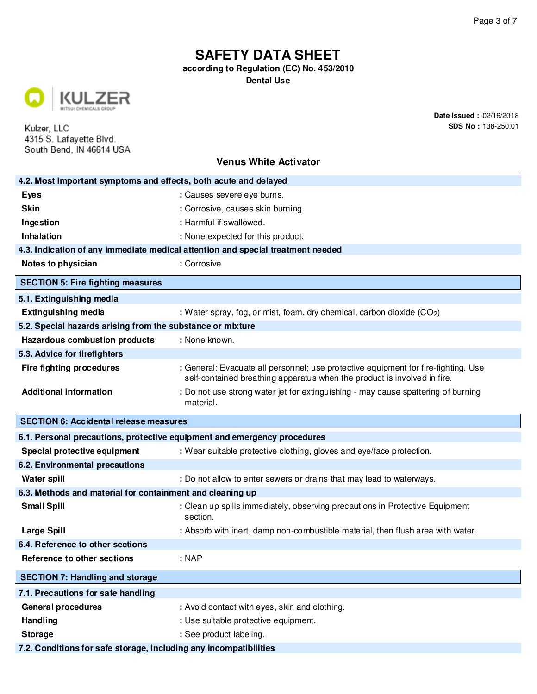**according to Regulation (EC) No. 453/2010**

**Dental Use**



Kulzer, LLC 4315 S. Lafayette Blvd. South Bend, IN 46614 USA **Date Issued :** 02/16/2018 **SDS No :** 138-250.01

| 4.2. Most important symptoms and effects, both acute and delayed         |                                                                                                                                                                |  |
|--------------------------------------------------------------------------|----------------------------------------------------------------------------------------------------------------------------------------------------------------|--|
| <b>Eyes</b>                                                              | : Causes severe eye burns.                                                                                                                                     |  |
| <b>Skin</b>                                                              | : Corrosive, causes skin burning.                                                                                                                              |  |
| Ingestion                                                                | : Harmful if swallowed.                                                                                                                                        |  |
| <b>Inhalation</b>                                                        | : None expected for this product.                                                                                                                              |  |
|                                                                          | 4.3. Indication of any immediate medical attention and special treatment needed                                                                                |  |
| Notes to physician                                                       | : Corrosive                                                                                                                                                    |  |
| <b>SECTION 5: Fire fighting measures</b>                                 |                                                                                                                                                                |  |
| 5.1. Extinguishing media                                                 |                                                                                                                                                                |  |
| <b>Extinguishing media</b>                                               | : Water spray, fog, or mist, foam, dry chemical, carbon dioxide (CO2)                                                                                          |  |
| 5.2. Special hazards arising from the substance or mixture               |                                                                                                                                                                |  |
| <b>Hazardous combustion products</b>                                     | : None known.                                                                                                                                                  |  |
| 5.3. Advice for firefighters                                             |                                                                                                                                                                |  |
| <b>Fire fighting procedures</b>                                          | : General: Evacuate all personnel; use protective equipment for fire-fighting. Use<br>self-contained breathing apparatus when the product is involved in fire. |  |
| <b>Additional information</b>                                            | : Do not use strong water jet for extinguishing - may cause spattering of burning<br>material.                                                                 |  |
| <b>SECTION 6: Accidental release measures</b>                            |                                                                                                                                                                |  |
| 6.1. Personal precautions, protective equipment and emergency procedures |                                                                                                                                                                |  |
| Special protective equipment                                             | : Wear suitable protective clothing, gloves and eye/face protection.                                                                                           |  |
| 6.2. Environmental precautions                                           |                                                                                                                                                                |  |
| <b>Water spill</b>                                                       | : Do not allow to enter sewers or drains that may lead to waterways.                                                                                           |  |
|                                                                          |                                                                                                                                                                |  |
| 6.3. Methods and material for containment and cleaning up                |                                                                                                                                                                |  |
| <b>Small Spill</b>                                                       | : Clean up spills immediately, observing precautions in Protective Equipment<br>section.                                                                       |  |
| <b>Large Spill</b>                                                       | : Absorb with inert, damp non-combustible material, then flush area with water.                                                                                |  |
| 6.4. Reference to other sections                                         |                                                                                                                                                                |  |
| Reference to other sections                                              | : NAP                                                                                                                                                          |  |
| <b>SECTION 7: Handling and storage</b>                                   |                                                                                                                                                                |  |
| 7.1. Precautions for safe handling                                       |                                                                                                                                                                |  |
| <b>General procedures</b>                                                | : Avoid contact with eyes, skin and clothing.                                                                                                                  |  |
| Handling                                                                 | : Use suitable protective equipment.                                                                                                                           |  |
| <b>Storage</b>                                                           | : See product labeling.                                                                                                                                        |  |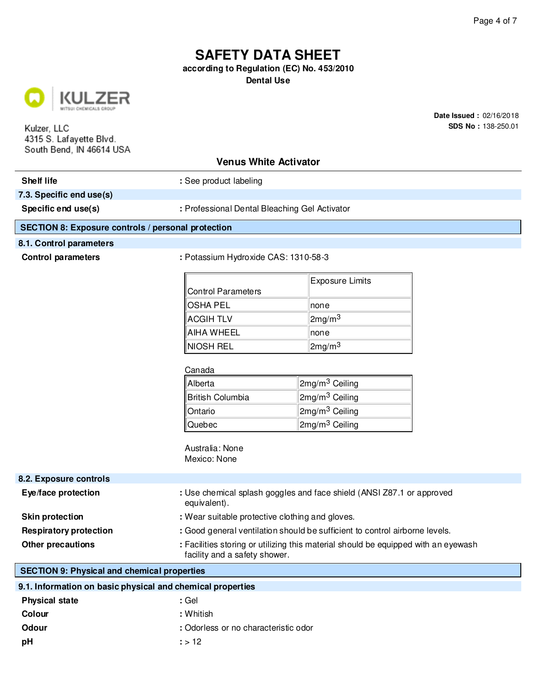**according to Regulation (EC) No. 453/2010**

**Dental Use**



Kulzer, LLC 4315 S. Lafayette Blvd. South Bend, IN 46614 USA **Date Issued :** 02/16/2018 **SDS No :** 138-250.01

### **Venus White Activator**

**Shelf life : See product labeling : See product labeling** 

**7.3. Specific end use(s)**

Specific end use(s)  $\qquad \qquad$  : Professional Dental Bleaching Gel Activator

#### **SECTION 8: Exposure controls / personal protection**

#### **8.1. Control parameters**

**Control parameters :** Potassium Hydroxide CAS: 1310-58-3

|                    | Exposure Limits    |
|--------------------|--------------------|
| Control Parameters |                    |
| <b>OSHA PEL</b>    | Inone              |
| <b>ACGIH TLV</b>   | 2mg/m <sup>3</sup> |
| AIHA WHEEL         | ∣none              |
| NIOSH REL          | 2mg/m <sup>3</sup> |

#### Canada

| Alberta          | 2mg/m <sup>3</sup> Ceiling |
|------------------|----------------------------|
| British Columbia | 2mg/m <sup>3</sup> Ceiling |
| Ontario          | 2mg/m <sup>3</sup> Ceiling |
| Quebec           | 2mg/m <sup>3</sup> Ceiling |

Australia: None Mexico: None

| 8.2. Exposure controls        |                                                                                                                     |
|-------------------------------|---------------------------------------------------------------------------------------------------------------------|
| Eye/face protection           | : Use chemical splash goggles and face shield (ANSI Z87.1 or approved<br>equivalent).                               |
| <b>Skin protection</b>        | : Wear suitable protective clothing and gloves.                                                                     |
| <b>Respiratory protection</b> | : Good general ventilation should be sufficient to control airborne levels.                                         |
| <b>Other precautions</b>      | : Facilities storing or utilizing this material should be equipped with an eyewash<br>facility and a safety shower. |

### **SECTION 9: Physical and chemical properties**

| 9.1. Information on basic physical and chemical properties |                                      |  |
|------------------------------------------------------------|--------------------------------------|--|
| <b>Physical state</b>                                      | : Gel                                |  |
| Colour                                                     | : Whitish                            |  |
| <b>Odour</b>                                               | : Odorless or no characteristic odor |  |
| рH                                                         | : > 12                               |  |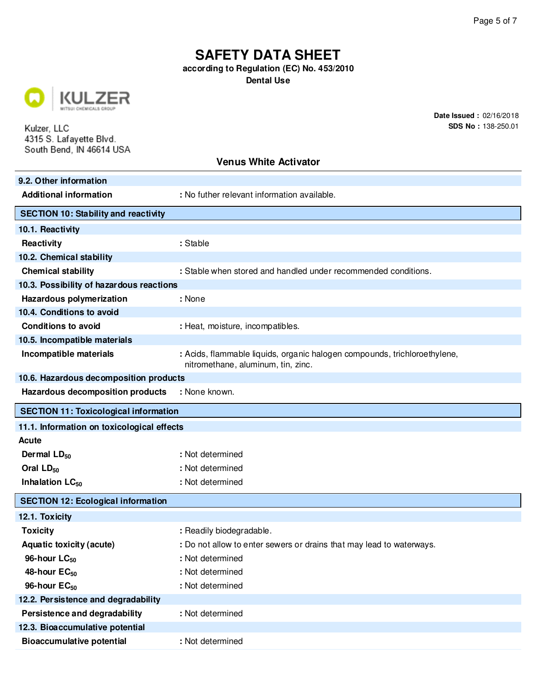**according to Regulation (EC) No. 453/2010**

**Dental Use**



Kulzer, LLC 4315 S. Lafayette Blvd. South Bend, IN 46614 USA **Date Issued :** 02/16/2018 **SDS No :** 138-250.01

| 9.2. Other information                       |                                                                                                                 |  |
|----------------------------------------------|-----------------------------------------------------------------------------------------------------------------|--|
| <b>Additional information</b>                | : No futher relevant information available.                                                                     |  |
| <b>SECTION 10: Stability and reactivity</b>  |                                                                                                                 |  |
| 10.1. Reactivity                             |                                                                                                                 |  |
| Reactivity                                   | : Stable                                                                                                        |  |
| 10.2. Chemical stability                     |                                                                                                                 |  |
| <b>Chemical stability</b>                    | : Stable when stored and handled under recommended conditions.                                                  |  |
| 10.3. Possibility of hazardous reactions     |                                                                                                                 |  |
| Hazardous polymerization                     | : None                                                                                                          |  |
| 10.4. Conditions to avoid                    |                                                                                                                 |  |
| <b>Conditions to avoid</b>                   | : Heat, moisture, incompatibles.                                                                                |  |
| 10.5. Incompatible materials                 |                                                                                                                 |  |
| Incompatible materials                       | : Acids, flammable liquids, organic halogen compounds, trichloroethylene,<br>nitromethane, aluminum, tin, zinc. |  |
| 10.6. Hazardous decomposition products       |                                                                                                                 |  |
| Hazardous decomposition products             | : None known.                                                                                                   |  |
| <b>SECTION 11: Toxicological information</b> |                                                                                                                 |  |
| 11.1. Information on toxicological effects   |                                                                                                                 |  |
|                                              |                                                                                                                 |  |
| Acute                                        |                                                                                                                 |  |
| Dermal $LD_{50}$                             | : Not determined                                                                                                |  |
| Oral LD <sub>50</sub>                        | : Not determined                                                                                                |  |
| Inhalation LC <sub>50</sub>                  | : Not determined                                                                                                |  |
| <b>SECTION 12: Ecological information</b>    |                                                                                                                 |  |
| 12.1. Toxicity                               |                                                                                                                 |  |
| <b>Toxicity</b>                              | : Readily biodegradable.                                                                                        |  |
| Aquatic toxicity (acute)                     | : Do not allow to enter sewers or drains that may lead to waterways.                                            |  |
| 96-hour $LC_{50}$                            | : Not determined                                                                                                |  |
| 48-hour EC <sub>50</sub>                     | : Not determined                                                                                                |  |
| 96-hour $EC_{50}$                            | : Not determined                                                                                                |  |
| 12.2. Persistence and degradability          |                                                                                                                 |  |
| Persistence and degradability                | : Not determined                                                                                                |  |
| 12.3. Bioaccumulative potential              |                                                                                                                 |  |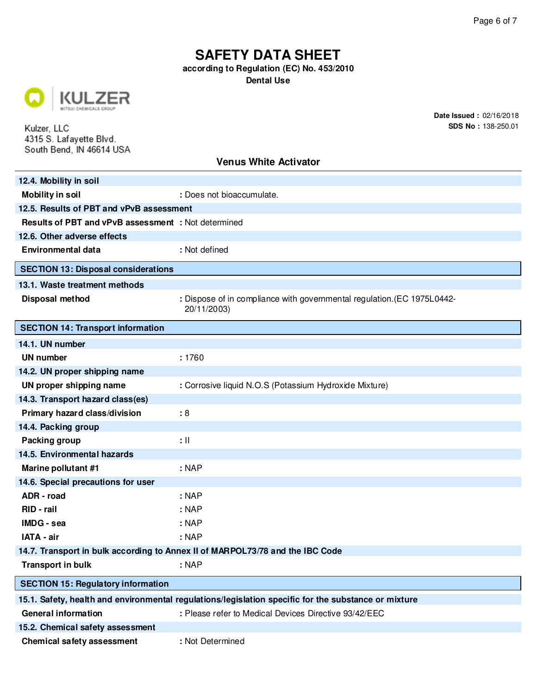**according to Regulation (EC) No. 453/2010**

**Dental Use**



Kulzer, LLC 4315 S. Lafayette Blvd. South Bend, IN 46614 USA **Date Issued :** 02/16/2018 **SDS No :** 138-250.01

| 12.4. Mobility in soil                                                        |                                                                                                      |  |
|-------------------------------------------------------------------------------|------------------------------------------------------------------------------------------------------|--|
| <b>Mobility in soil</b>                                                       | : Does not bioaccumulate.                                                                            |  |
| 12.5. Results of PBT and vPvB assessment                                      |                                                                                                      |  |
| <b>Results of PBT and vPvB assessment : Not determined</b>                    |                                                                                                      |  |
| 12.6. Other adverse effects                                                   |                                                                                                      |  |
| <b>Environmental data</b>                                                     | : Not defined                                                                                        |  |
| <b>SECTION 13: Disposal considerations</b>                                    |                                                                                                      |  |
| 13.1. Waste treatment methods                                                 |                                                                                                      |  |
| Disposal method                                                               | : Dispose of in compliance with governmental regulation. (EC 1975L0442-<br>20/11/2003)               |  |
| <b>SECTION 14: Transport information</b>                                      |                                                                                                      |  |
| 14.1. UN number                                                               |                                                                                                      |  |
| <b>UN number</b>                                                              | : 1760                                                                                               |  |
| 14.2. UN proper shipping name                                                 |                                                                                                      |  |
| UN proper shipping name                                                       | : Corrosive liquid N.O.S (Potassium Hydroxide Mixture)                                               |  |
| 14.3. Transport hazard class(es)                                              |                                                                                                      |  |
| Primary hazard class/division                                                 | :8                                                                                                   |  |
| 14.4. Packing group                                                           |                                                                                                      |  |
| Packing group                                                                 | $: \mathbb{H}$                                                                                       |  |
| 14.5. Environmental hazards                                                   |                                                                                                      |  |
| Marine pollutant #1                                                           | $:$ NAP                                                                                              |  |
| 14.6. Special precautions for user                                            |                                                                                                      |  |
| ADR - road                                                                    | : NAP                                                                                                |  |
| RID - rail                                                                    | $:$ NAP                                                                                              |  |
| IMDG - sea                                                                    | : NAP                                                                                                |  |
| IATA - air                                                                    | : NAP                                                                                                |  |
| 14.7. Transport in bulk according to Annex II of MARPOL73/78 and the IBC Code |                                                                                                      |  |
| <b>Transport in bulk</b>                                                      | $:$ NAP                                                                                              |  |
| <b>SECTION 15: Regulatory information</b>                                     |                                                                                                      |  |
|                                                                               | 15.1. Safety, health and environmental regulations/legislation specific for the substance or mixture |  |
| <b>General information</b>                                                    | : Please refer to Medical Devices Directive 93/42/EEC                                                |  |
| 15.2. Chemical safety assessment                                              |                                                                                                      |  |
| <b>Chemical safety assessment</b>                                             | : Not Determined                                                                                     |  |